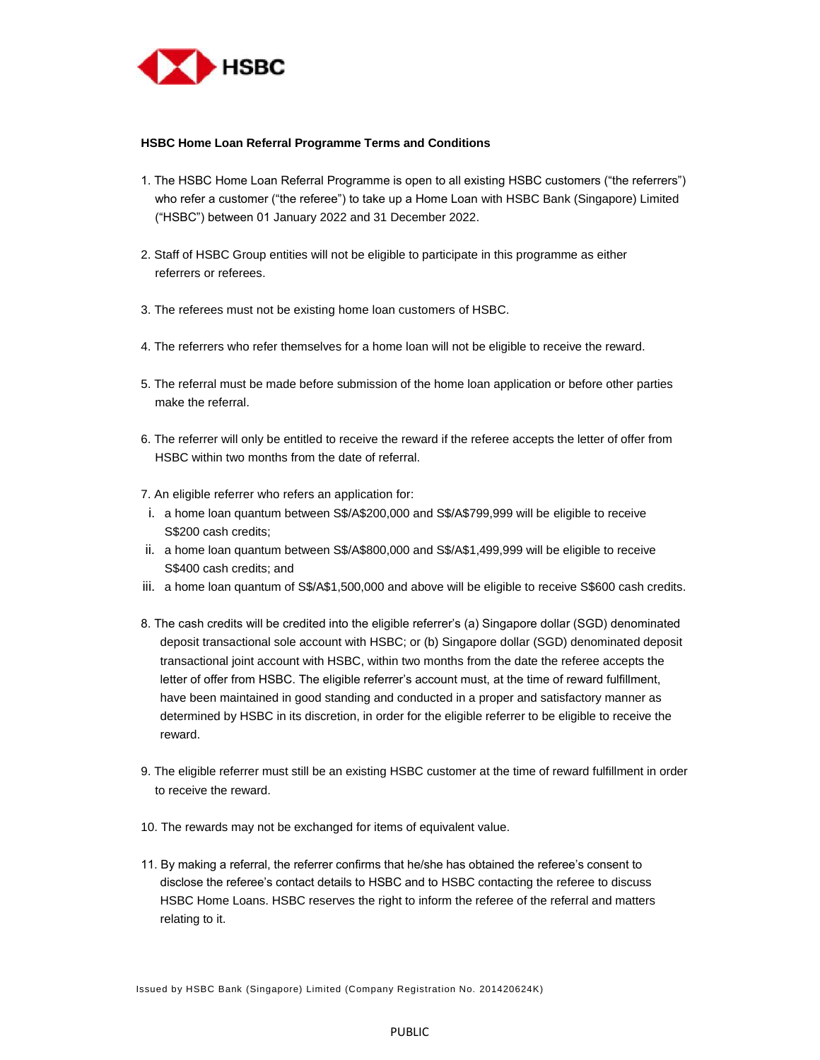

## **HSBC Home Loan Referral Programme Terms and Conditions**

- 1. The HSBC Home Loan Referral Programme is open to all existing HSBC customers ("the referrers") who refer a customer ("the referee") to take up a Home Loan with HSBC Bank (Singapore) Limited ("HSBC") between 01 January 2022 and 31 December 2022.
- 2. Staff of HSBC Group entities will not be eligible to participate in this programme as either referrers or referees.
- 3. The referees must not be existing home loan customers of HSBC.
- 4. The referrers who refer themselves for a home loan will not be eligible to receive the reward.
- 5. The referral must be made before submission of the home loan application or before other parties make the referral.
- 6. The referrer will only be entitled to receive the reward if the referee accepts the letter of offer from HSBC within two months from the date of referral.
- 7. An eligible referrer who refers an application for:
- i. a home loan quantum between S\$/A\$200,000 and S\$/A\$799,999 will be eligible to receive S\$200 cash credits;
- ii. a home loan quantum between S\$/A\$800,000 and S\$/A\$1,499,999 will be eligible to receive S\$400 cash credits; and
- iii. a home loan quantum of S\$/A\$1,500,000 and above will be eligible to receive S\$600 cash credits.
- 8. The cash credits will be credited into the eligible referrer's (a) Singapore dollar (SGD) denominated deposit transactional sole account with HSBC; or (b) Singapore dollar (SGD) denominated deposit transactional joint account with HSBC, within two months from the date the referee accepts the letter of offer from HSBC. The eligible referrer's account must, at the time of reward fulfillment, have been maintained in good standing and conducted in a proper and satisfactory manner as determined by HSBC in its discretion, in order for the eligible referrer to be eligible to receive the reward.
- 9. The eligible referrer must still be an existing HSBC customer at the time of reward fulfillment in order to receive the reward.
- 10. The rewards may not be exchanged for items of equivalent value.
- 11. By making a referral, the referrer confirms that he/she has obtained the referee's consent to disclose the referee's contact details to HSBC and to HSBC contacting the referee to discuss HSBC Home Loans. HSBC reserves the right to inform the referee of the referral and matters relating to it.